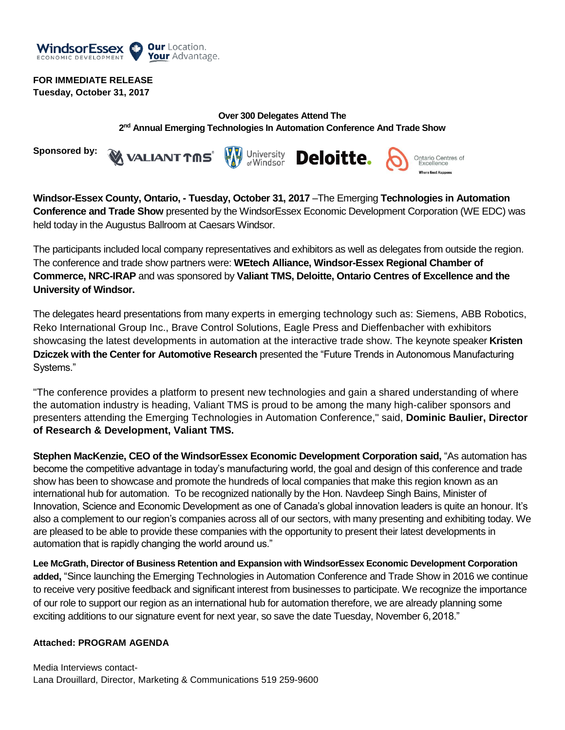

## **FOR IMMEDIATE RELEASE**

**Tuesday, October 31, 2017**

## **Over 300 Delegates Attend The 2 nd Annual Emerging Technologies In Automation Conference And Trade Show**

**Sponsored by:**





**Windsor-Essex County, Ontario, - Tuesday, October 31, 2017** –The Emerging **Technologies in Automation Conference and Trade Show** presented by the WindsorEssex Economic Development Corporation (WE EDC) was held today in the Augustus Ballroom at Caesars Windsor.

The participants included local company representatives and exhibitors as well as delegates from outside the region. The conference and trade show partners were: **WEtech Alliance, Windsor-Essex Regional Chamber of Commerce, NRC-IRAP** and was sponsored by **Valiant TMS, Deloitte, Ontario Centres of Excellence and the University of Windsor.**

The delegates heard presentations from many experts in emerging technology such as: Siemens, ABB Robotics, Reko International Group Inc., Brave Control Solutions, Eagle Press and Dieffenbacher with exhibitors showcasing the latest developments in automation at the interactive trade show. The keynote speaker **Kristen Dziczek with the Center for Automotive Research** presented the "Future Trends in Autonomous Manufacturing Systems."

"The conference provides a platform to present new technologies and gain a shared understanding of where the automation industry is heading, Valiant TMS is proud to be among the many high-caliber sponsors and presenters attending the Emerging Technologies in Automation Conference," said, **Dominic Baulier, Director of Research & Development, Valiant TMS.** 

**Stephen MacKenzie, CEO of the WindsorEssex Economic Development Corporation said,** "As automation has become the competitive advantage in today's manufacturing world, the goal and design of this conference and trade show has been to showcase and promote the hundreds of local companies that make this region known as an international hub for automation. To be recognized nationally by the Hon. Navdeep Singh Bains, Minister of Innovation, Science and Economic Development as one of Canada's global innovation leaders is quite an honour. It's also a complement to our region's companies across all of our sectors, with many presenting and exhibiting today. We are pleased to be able to provide these companies with the opportunity to present their latest developments in automation that is rapidly changing the world around us."

**Lee McGrath, Director of Business Retention and Expansion with WindsorEssex Economic Development Corporation added,** "Since launching the Emerging Technologies in Automation Conference and Trade Show in 2016 we continue to receive very positive feedback and significant interest from businesses to participate. We recognize the importance of our role to support our region as an international hub for automation therefore, we are already planning some exciting additions to our signature event for next year, so save the date Tuesday, November 6,2018."

### **Attached: PROGRAM AGENDA**

Media Interviews contact-Lana Drouillard, Director, Marketing & Communications 519 259-9600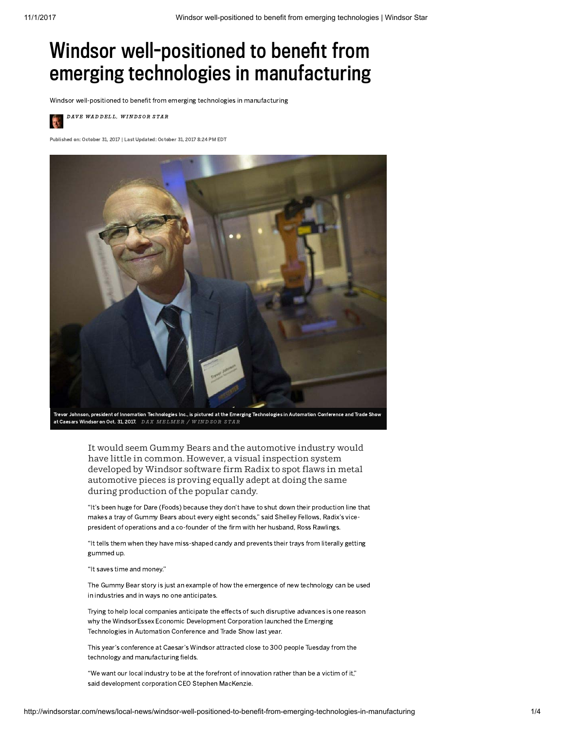# Windsor well-positioned to benefit from emerging technologies in manufacturing

Windsor well-positioned to benefit from emerging technologies in manufacturing

DAVE WADDELL, WINDSOR STAR

Published on: October 31, 2017 | Last Updated: October 31, 2017 8:24 PM EDT



at Caesars Windsor on Oct. 31, 2017. DAX MELMER / WINDSOR STAR

It would seem Gummy Bears and the automotive industry would have little in common. However, a visual inspection system developed by Windsor software firm Radix to spot flaws in metal automotive pieces is proving equally adept at doing the same during production of the popular candy.

"It's been huge for Dare (Foods) because they don't have to shut down their production line that makes a tray of Gummy Bears about every eight seconds," said Shelley Fellows, Radix's vicepresident of operations and a co-founder of the firm with her husband, Ross Rawlings.

"It tells them when they have miss-shaped candy and prevents their trays from literally getting gummed up.

"It saves time and money."

The Gummy Bear story is just an example of how the emergence of new technology can be used in industries and in ways no one anticipates.

Trying to help local companies anticipate the effects of such disruptive advances is one reason why the WindsorEssex Economic Development Corporation launched the Emerging Technologies in Automation Conference and Trade Show last year.

This year's conference at Caesar's Windsor attracted close to 300 people Tuesday from the technology and manufacturing fields.

"We want our local industry to be at the forefront of innovation rather than be a victim of it," said development corporation CEO Stephen MacKenzie.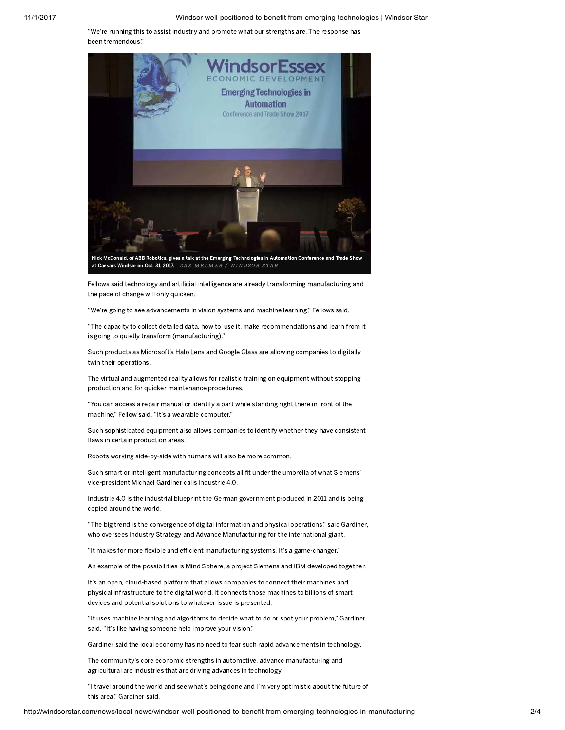"We're running this to assist industry and promote what our strengths are. The response has been tremendous."



Fellows said technology and artificial intelligence are already transforming manufacturing and the pace of change will only quicken.

"We're going to see advancements in vision systems and machine learning," Fellows said.

"The capacity to collect detailed data, how to use it, make recommendations and learn from it is going to quietly transform (manufacturing)."

Such products as Microsoft's Halo Lens and Google Glass are allowing companies to digitally twin their operations.

The virtual and augmented reality allows for realistic training on equipment without stopping production and for quicker maintenance procedures.

"You can access a repair manual or identify a part while standing right there in front of the machine," Fellow said. "It's a wearable computer."

Such sophisticated equipment also allows companies to identify whether they have consistent flaws in certain production areas.

Robots working side-by-side with humans will also be more common.

Such smart or intelligent manufacturing concepts all fit under the umbrella of what Siemens' vice-president Michael Gardiner calls Industrie 4.0.

Industrie 4.0 is the industrial blueprint the German government produced in 2011 and is being copied around the world.

"The big trend is the convergence of digital information and physical operations," said Gardiner, who oversees Industry Strategy and Advance Manufacturing for the international giant.

"It makes for more flexible and efficient manufacturing systems. It's a game-changer."

An example of the possibilities is Mind Sphere, a project Siemens and IBM developed together.

It's an open, cloud-based platform that allows companies to connect their machines and physical infrastructure to the digital world. It connects those machines to billions of smart devices and potential solutions to whatever issue is presented.

"It uses machine learning and algorithms to decide what to do or spot your problem," Gardiner said. "It's like having someone help improve your vision."

Gardiner said the local economy has no need to fear such rapid advancements in technology.

The community's core economic strengths in automotive, advance manufacturing and agricultural are industries that are driving advances in technology.

"I travel around the world and see what's being done and I'm very optimistic about the future of this area," Gardiner said.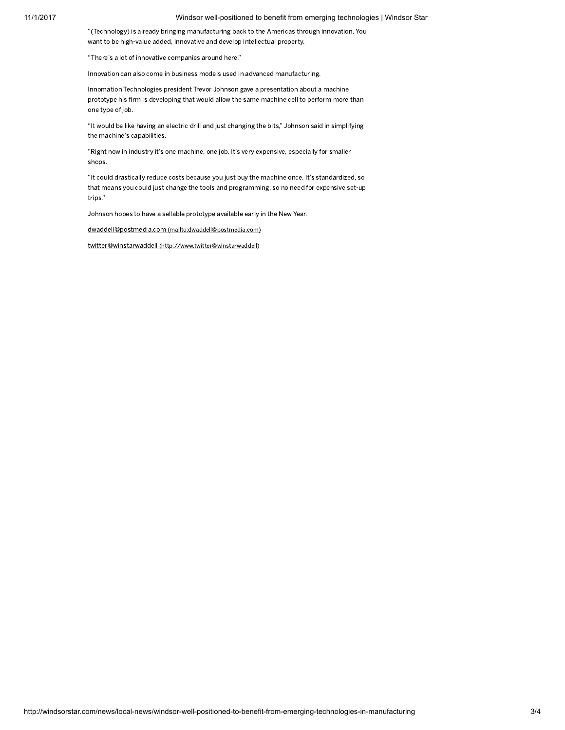#### 11/1/2017 Windsor well-positioned to benefit from emerging technologies | Windsor Star

"(Technology) is already bringing manufacturing back to the Americas through innovation. You want to be high-value added, innovative and develop intellectual property.

"There's a lot of innovative companies around here."

Innovation can also come in business models used in advanced manufacturing.

Innomation Technologies president Trevor Johnson gave a presentation about a machine prototype his firm is developing that would allow the same machine cell to perform more than one type of job.

"It would be like having an electric drill and just changing the bits," Johnson said in simplifying the machine's capabilities.

"Right now in industry it's one machine, one job. It's very expensive, especially for smaller shops.

"It could drastically reduce costs because you just buy the machine once. It's standardized, so that means you could just change the tools and programming, so no need for expensive set-up trips."

Johnson hopes to have a sellable prototype available early in the New Year.

dwaddell@postmedia.com [\(mailto:dwaddell@postmedia.com\)](mailto:dwaddell@postmedia.com)

twitter@winstarwaddell [\(http://www.twitter@winstarwaddell\)](http://www.twitter@winstarwaddell/)